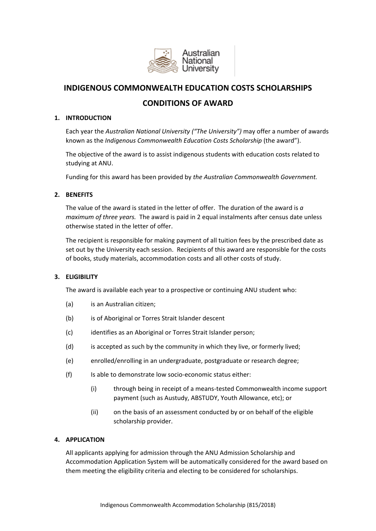

# **INDIGENOUS COMMONWEALTH EDUCATION COSTS SCHOLARSHIPS**

# **CONDITIONS OF AWARD**

# **1. INTRODUCTION**

Each year the *Australian National University ("The University")* may offer a number of awards known as the *Indigenous Commonwealth Education Costs Scholarship* (the award").

The objective of the award is to assist indigenous students with education costs related to studying at ANU.

Funding for this award has been provided by *the Australian Commonwealth Government.*

# **2. BENEFITS**

The value of the award is stated in the letter of offer. The duration of the award is *a maximum of three years.* The award is paid in 2 equal instalments after census date unless otherwise stated in the letter of offer.

The recipient is responsible for making payment of all tuition fees by the prescribed date as set out by the University each session. Recipients of this award are responsible for the costs of books, study materials, accommodation costs and all other costs of study.

# **3. ELIGIBILITY**

The award is available each year to a prospective or continuing ANU student who:

- (a) is an Australian citizen;
- (b) is of Aboriginal or Torres Strait Islander descent
- (c) identifies as an Aboriginal or Torres Strait Islander person;
- (d) is accepted as such by the community in which they live, or formerly lived;
- (e) enrolled/enrolling in an undergraduate, postgraduate or research degree;
- (f) Is able to demonstrate low socio-economic status either:
	- (i) through being in receipt of a means-tested Commonwealth income support payment (such as Austudy, ABSTUDY, Youth Allowance, etc); or
	- (ii) on the basis of an assessment conducted by or on behalf of the eligible scholarship provider.

# **4. APPLICATION**

All applicants applying for admission through the ANU Admission Scholarship and Accommodation Application System will be automatically considered for the award based on them meeting the eligibility criteria and electing to be considered for scholarships.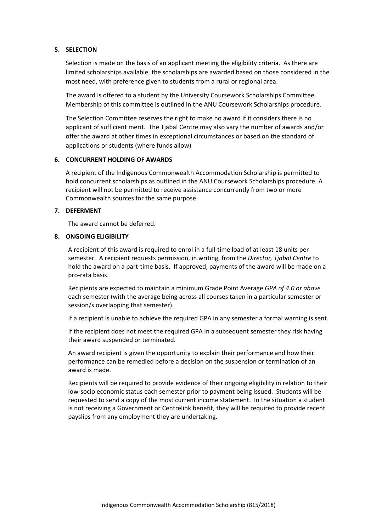### **5. SELECTION**

Selection is made on the basis of an applicant meeting the eligibility criteria. As there are limited scholarships available, the scholarships are awarded based on those considered in the most need, with preference given to students from a rural or regional area.

The award is offered to a student by the University Coursework Scholarships Committee. Membership of this committee is outlined in the ANU Coursework Scholarships procedure.

The Selection Committee reserves the right to make no award if it considers there is no applicant of sufficient merit. The Tjabal Centre may also vary the number of awards and/or offer the award at other times in exceptional circumstances or based on the standard of applications or students (where funds allow)

### **6. CONCURRENT HOLDING OF AWARDS**

A recipient of the Indigenous Commonwealth Accommodation Scholarship is permitted to hold concurrent scholarships as outlined in the ANU Coursework Scholarships procedure. A recipient will not be permitted to receive assistance concurrently from two or more Commonwealth sources for the same purpose.

### **7. DEFERMENT**

The award cannot be deferred.

# **8. ONGOING ELIGIBILITY**

A recipient of this award is required to enrol in a full-time load of at least 18 units per semester. A recipient requests permission, in writing, from the *Director, Tjabal Centre* to hold the award on a part-time basis. If approved, payments of the award will be made on a pro-rata basis.

Recipients are expected to maintain a minimum Grade Point Average *GPA of 4.0 or above* each semester (with the average being across all courses taken in a particular semester or session/s overlapping that semester).

If a recipient is unable to achieve the required GPA in any semester a formal warning is sent.

If the recipient does not meet the required GPA in a subsequent semester they risk having their award suspended or terminated.

An award recipient is given the opportunity to explain their performance and how their performance can be remedied before a decision on the suspension or termination of an award is made.

Recipients will be required to provide evidence of their ongoing eligibility in relation to their low-socio economic status each semester prior to payment being issued. Students will be requested to send a copy of the most current income statement. In the situation a student is not receiving a Government or Centrelink benefit, they will be required to provide recent payslips from any employment they are undertaking.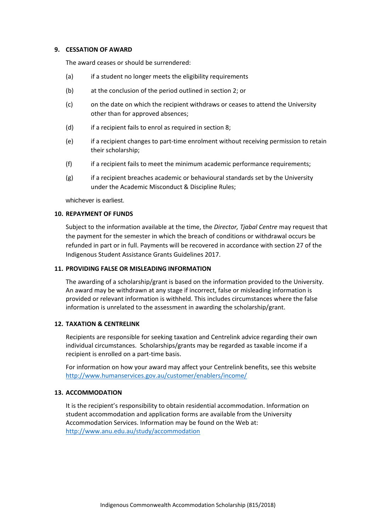#### **9. CESSATION OF AWARD**

The award ceases or should be surrendered:

- (a) if a student no longer meets the eligibility requirements
- (b) at the conclusion of the period outlined in section 2; or
- (c) on the date on which the recipient withdraws or ceases to attend the University other than for approved absences;
- (d) if a recipient fails to enrol as required in section 8;
- (e) if a recipient changes to part-time enrolment without receiving permission to retain their scholarship;
- (f) if a recipient fails to meet the minimum academic performance requirements;
- (g) if a recipient breaches academic or behavioural standards set by the University under the Academic Misconduct & Discipline Rules;

whichever is earliest.

#### **10. REPAYMENT OF FUNDS**

Subject to the information available at the time, the *Director, Tjabal Centre* may request that the payment for the semester in which the breach of conditions or withdrawal occurs be refunded in part or in full. Payments will be recovered in accordance with section 27 of the Indigenous Student Assistance Grants Guidelines 2017.

### **11. PROVIDING FALSE OR MISLEADING INFORMATION**

The awarding of a scholarship/grant is based on the information provided to the University. An award may be withdrawn at any stage if incorrect, false or misleading information is provided or relevant information is withheld. This includes circumstances where the false information is unrelated to the assessment in awarding the scholarship/grant.

#### **12. TAXATION & CENTRELINK**

Recipients are responsible for seeking taxation and Centrelink advice regarding their own individual circumstances. Scholarships/grants may be regarded as taxable income if a recipient is enrolled on a part-time basis.

For information on how your award may affect your Centrelink benefits, see this website <http://www.humanservices.gov.au/customer/enablers/income/>

#### **13. ACCOMMODATION**

It is the recipient's responsibility to obtain residential accommodation. Information on student accommodation and application forms are available from the University Accommodation Services. Information may be found on the Web at: <http://www.anu.edu.au/study/accommodation>